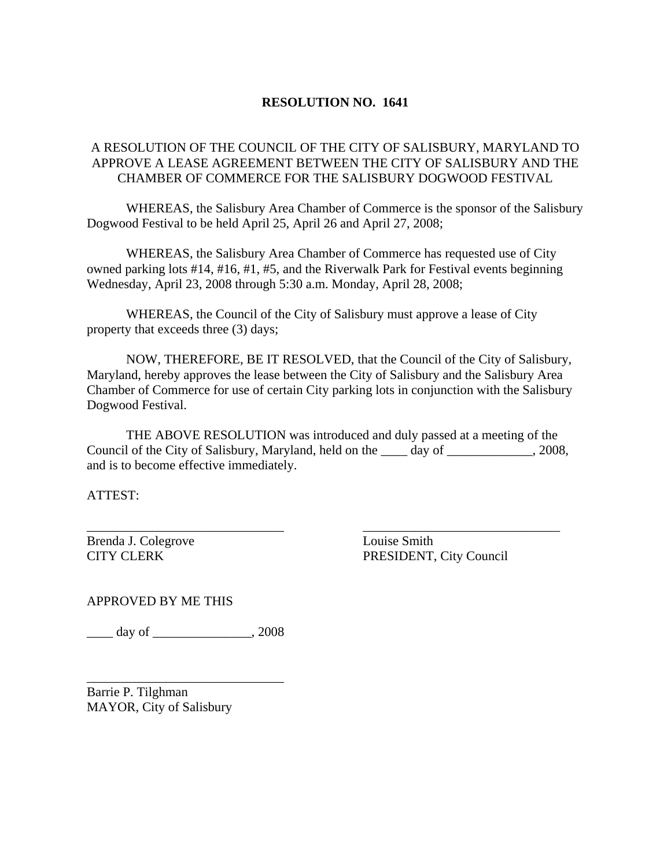## **RESOLUTION NO. 1641**

## A RESOLUTION OF THE COUNCIL OF THE CITY OF SALISBURY, MARYLAND TO APPROVE A LEASE AGREEMENT BETWEEN THE CITY OF SALISBURY AND THE CHAMBER OF COMMERCE FOR THE SALISBURY DOGWOOD FESTIVAL

 WHEREAS, the Salisbury Area Chamber of Commerce is the sponsor of the Salisbury Dogwood Festival to be held April 25, April 26 and April 27, 2008;

 WHEREAS, the Salisbury Area Chamber of Commerce has requested use of City owned parking lots #14, #16, #1, #5, and the Riverwalk Park for Festival events beginning Wednesday, April 23, 2008 through 5:30 a.m. Monday, April 28, 2008;

 WHEREAS, the Council of the City of Salisbury must approve a lease of City property that exceeds three (3) days;

 NOW, THEREFORE, BE IT RESOLVED, that the Council of the City of Salisbury, Maryland, hereby approves the lease between the City of Salisbury and the Salisbury Area Chamber of Commerce for use of certain City parking lots in conjunction with the Salisbury Dogwood Festival.

 THE ABOVE RESOLUTION was introduced and duly passed at a meeting of the Council of the City of Salisbury, Maryland, held on the \_\_\_\_ day of \_\_\_\_\_\_\_\_\_\_\_\_\_, 2008, and is to become effective immediately.

\_\_\_\_\_\_\_\_\_\_\_\_\_\_\_\_\_\_\_\_\_\_\_\_\_\_\_\_\_\_ \_\_\_\_\_\_\_\_\_\_\_\_\_\_\_\_\_\_\_\_\_\_\_\_\_\_\_\_\_\_

ATTEST:

Brenda J. Colegrove Louise Smith

CITY CLERK PRESIDENT, City Council

APPROVED BY ME THIS

\_\_\_\_ day of \_\_\_\_\_\_\_\_\_\_\_\_\_\_\_, 2008

\_\_\_\_\_\_\_\_\_\_\_\_\_\_\_\_\_\_\_\_\_\_\_\_\_\_\_\_\_\_

Barrie P. Tilghman MAYOR, City of Salisbury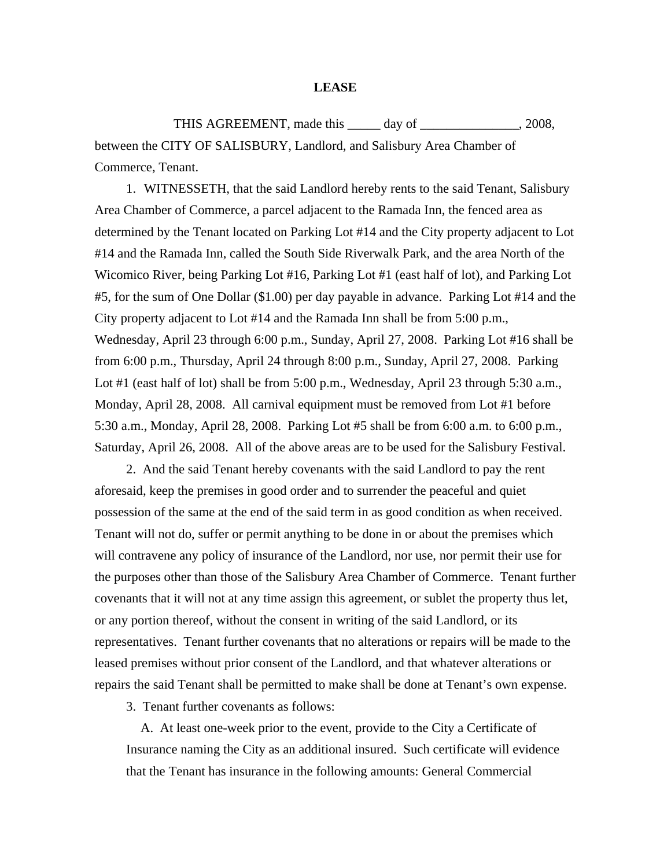## **LEASE**

THIS AGREEMENT, made this \_\_\_\_\_ day of \_\_\_\_\_\_\_\_\_\_\_\_\_\_, 2008, between the CITY OF SALISBURY, Landlord, and Salisbury Area Chamber of Commerce, Tenant.

1. WITNESSETH, that the said Landlord hereby rents to the said Tenant, Salisbury Area Chamber of Commerce, a parcel adjacent to the Ramada Inn, the fenced area as determined by the Tenant located on Parking Lot #14 and the City property adjacent to Lot #14 and the Ramada Inn, called the South Side Riverwalk Park, and the area North of the Wicomico River, being Parking Lot #16, Parking Lot #1 (east half of lot), and Parking Lot #5, for the sum of One Dollar (\$1.00) per day payable in advance. Parking Lot #14 and the City property adjacent to Lot #14 and the Ramada Inn shall be from 5:00 p.m., Wednesday, April 23 through 6:00 p.m., Sunday, April 27, 2008. Parking Lot #16 shall be from 6:00 p.m., Thursday, April 24 through 8:00 p.m., Sunday, April 27, 2008. Parking Lot #1 (east half of lot) shall be from 5:00 p.m., Wednesday, April 23 through 5:30 a.m., Monday, April 28, 2008. All carnival equipment must be removed from Lot #1 before 5:30 a.m., Monday, April 28, 2008. Parking Lot #5 shall be from 6:00 a.m. to 6:00 p.m., Saturday, April 26, 2008. All of the above areas are to be used for the Salisbury Festival.

2. And the said Tenant hereby covenants with the said Landlord to pay the rent aforesaid, keep the premises in good order and to surrender the peaceful and quiet possession of the same at the end of the said term in as good condition as when received. Tenant will not do, suffer or permit anything to be done in or about the premises which will contravene any policy of insurance of the Landlord, nor use, nor permit their use for the purposes other than those of the Salisbury Area Chamber of Commerce. Tenant further covenants that it will not at any time assign this agreement, or sublet the property thus let, or any portion thereof, without the consent in writing of the said Landlord, or its representatives. Tenant further covenants that no alterations or repairs will be made to the leased premises without prior consent of the Landlord, and that whatever alterations or repairs the said Tenant shall be permitted to make shall be done at Tenant's own expense.

3. Tenant further covenants as follows:

 A. At least one-week prior to the event, provide to the City a Certificate of Insurance naming the City as an additional insured. Such certificate will evidence that the Tenant has insurance in the following amounts: General Commercial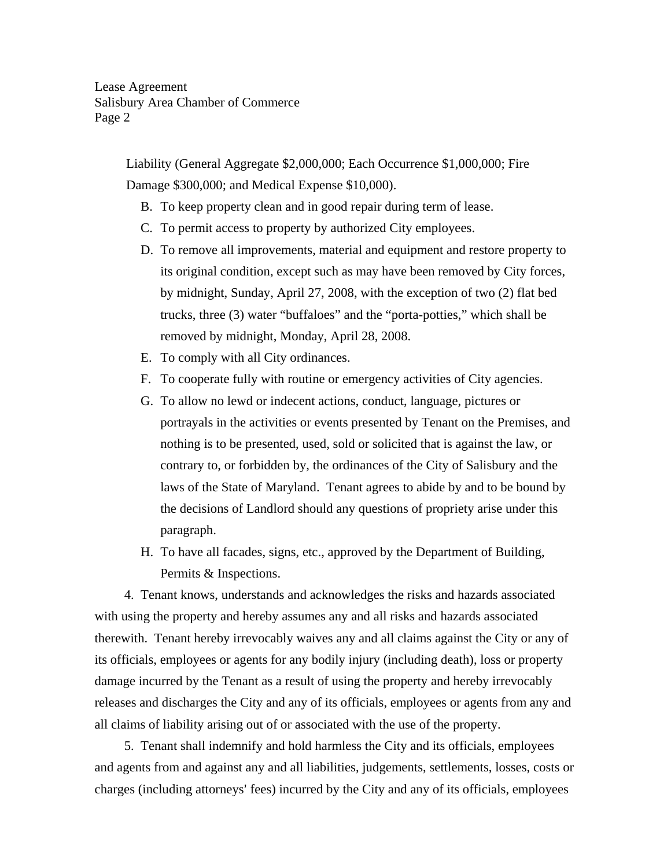Liability (General Aggregate \$2,000,000; Each Occurrence \$1,000,000; Fire Damage \$300,000; and Medical Expense \$10,000).

- B. To keep property clean and in good repair during term of lease.
- C. To permit access to property by authorized City employees.
- D. To remove all improvements, material and equipment and restore property to its original condition, except such as may have been removed by City forces, by midnight, Sunday, April 27, 2008, with the exception of two (2) flat bed trucks, three (3) water "buffaloes" and the "porta-potties," which shall be removed by midnight, Monday, April 28, 2008.
- E. To comply with all City ordinances.
- F. To cooperate fully with routine or emergency activities of City agencies.
- G. To allow no lewd or indecent actions, conduct, language, pictures or portrayals in the activities or events presented by Tenant on the Premises, and nothing is to be presented, used, sold or solicited that is against the law, or contrary to, or forbidden by, the ordinances of the City of Salisbury and the laws of the State of Maryland. Tenant agrees to abide by and to be bound by the decisions of Landlord should any questions of propriety arise under this paragraph.
- H. To have all facades, signs, etc., approved by the Department of Building, Permits & Inspections.

 4. Tenant knows, understands and acknowledges the risks and hazards associated with using the property and hereby assumes any and all risks and hazards associated therewith. Tenant hereby irrevocably waives any and all claims against the City or any of its officials, employees or agents for any bodily injury (including death), loss or property damage incurred by the Tenant as a result of using the property and hereby irrevocably releases and discharges the City and any of its officials, employees or agents from any and all claims of liability arising out of or associated with the use of the property.

 5. Tenant shall indemnify and hold harmless the City and its officials, employees and agents from and against any and all liabilities, judgements, settlements, losses, costs or charges (including attorneys' fees) incurred by the City and any of its officials, employees